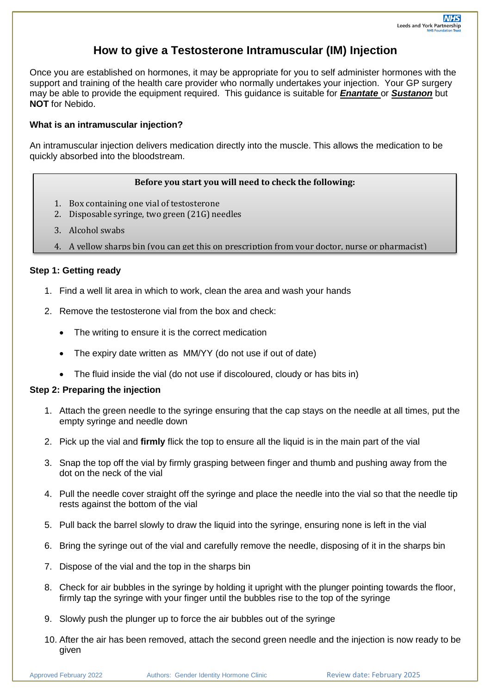# **How to give a Testosterone Intramuscular (IM) Injection**

Once you are established on hormones, it may be appropriate for you to self administer hormones with the support and training of the health care provider who normally undertakes your injection. Your GP surgery may be able to provide the equipment required. This guidance is suitable for *Enantate* or *Sustanon* but **NOT** for Nebido.

#### **What is an intramuscular injection?**

An intramuscular injection delivers medication directly into the muscle. This allows the medication to be quickly absorbed into the bloodstream.

#### **Before you start you will need to check the following:**

- 1. Box containing one vial of testosterone
- 2. Disposable syringe, two green (21G) needles
- 3. Alcohol swabs
- 4. A yellow sharps bin (you can get this on prescription from your doctor, nurse or pharmacist)

## **Step 1: Getting ready**

- 1. Find a well lit area in which to work, clean the area and wash your hands
- 2. Remove the testosterone vial from the box and check:
	- The writing to ensure it is the correct medication
	- The expiry date written as MM/YY (do not use if out of date)
	- The fluid inside the vial (do not use if discoloured, cloudy or has bits in)

#### **Step 2: Preparing the injection**

- 1. Attach the green needle to the syringe ensuring that the cap stays on the needle at all times, put the empty syringe and needle down
- 2. Pick up the vial and **firmly** flick the top to ensure all the liquid is in the main part of the vial
- 3. Snap the top off the vial by firmly grasping between finger and thumb and pushing away from the dot on the neck of the vial
- 4. Pull the needle cover straight off the syringe and place the needle into the vial so that the needle tip rests against the bottom of the vial
- 5. Pull back the barrel slowly to draw the liquid into the syringe, ensuring none is left in the vial
- 6. Bring the syringe out of the vial and carefully remove the needle, disposing of it in the sharps bin
- 7. Dispose of the vial and the top in the sharps bin
- 8. Check for air bubbles in the syringe by holding it upright with the plunger pointing towards the floor, firmly tap the syringe with your finger until the bubbles rise to the top of the syringe
- 9. Slowly push the plunger up to force the air bubbles out of the syringe
- 10. After the air has been removed, attach the second green needle and the injection is now ready to be given